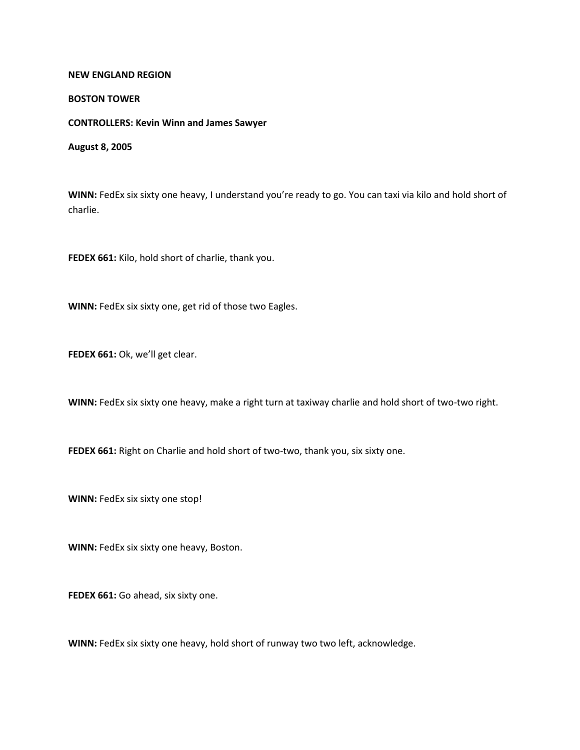## **NEW ENGLAND REGION**

## **BOSTON TOWER**

## **CONTROLLERS: Kevin Winn and James Sawyer**

**August 8, 2005**

**WINN:** FedEx six sixty one heavy, I understand you're ready to go. You can taxi via kilo and hold short of charlie.

**FEDEX 661:** Kilo, hold short of charlie, thank you.

**WINN:** FedEx six sixty one, get rid of those two Eagles.

**FEDEX 661:** Ok, we'll get clear.

**WINN:** FedEx six sixty one heavy, make a right turn at taxiway charlie and hold short of two-two right.

FEDEX 661: Right on Charlie and hold short of two-two, thank you, six sixty one.

**WINN:** FedEx six sixty one stop!

**WINN:** FedEx six sixty one heavy, Boston.

**FEDEX 661:** Go ahead, six sixty one.

**WINN:** FedEx six sixty one heavy, hold short of runway two two left, acknowledge.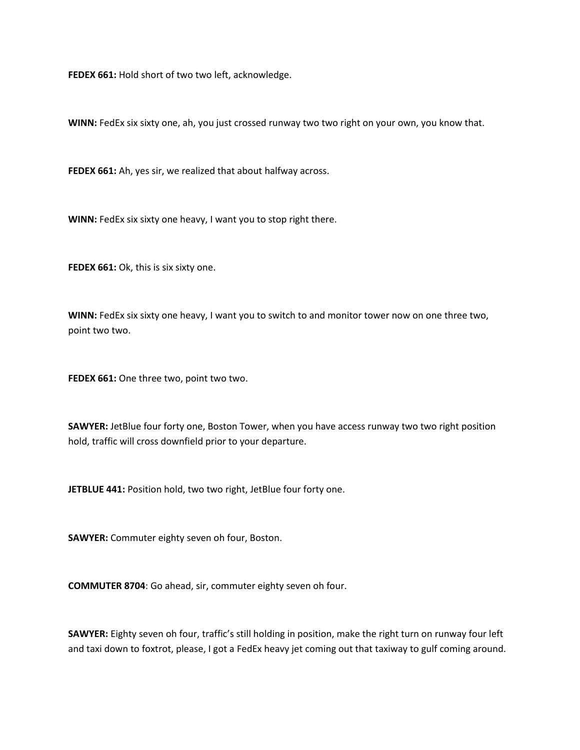**FEDEX 661:** Hold short of two two left, acknowledge.

**WINN:** FedEx six sixty one, ah, you just crossed runway two two right on your own, you know that.

**FEDEX 661:** Ah, yes sir, we realized that about halfway across.

**WINN:** FedEx six sixty one heavy, I want you to stop right there.

FEDEX 661: Ok, this is six sixty one.

**WINN:** FedEx six sixty one heavy, I want you to switch to and monitor tower now on one three two, point two two.

**FEDEX 661:** One three two, point two two.

**SAWYER:** JetBlue four forty one, Boston Tower, when you have access runway two two right position hold, traffic will cross downfield prior to your departure.

**JETBLUE 441:** Position hold, two two right, JetBlue four forty one.

**SAWYER:** Commuter eighty seven oh four, Boston.

**COMMUTER 8704**: Go ahead, sir, commuter eighty seven oh four.

**SAWYER:** Eighty seven oh four, traffic's still holding in position, make the right turn on runway four left and taxi down to foxtrot, please, I got a FedEx heavy jet coming out that taxiway to gulf coming around.